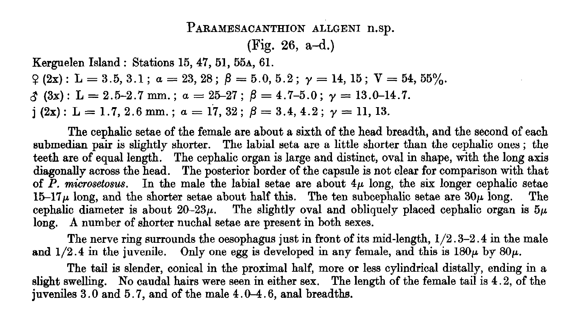## PARAMESACANTHION ALLGENI n.sp.

(Fig. 26, a-d.)

Kerguelen Island : Stations 15, 47, 51, 55a, 61.

 $\mathfrak{L}(2x)$ : L = 3.5, 3.1;  $\alpha = 23, 28$ ;  $\beta = 5.0, 5.2$ ;  $\gamma = 14, 15$ ;  $V = 54, 55\%$ .

 $\hat{\zeta}(3x)$ : L = 2.5-2.7 mm.;  $a = 25-27$ ;  $\beta = 4.7-5.0$ ;  $\gamma = 13.0-14.7$ .

 $j(2x): L = 1.7, 2.6$  mm.;  $\alpha = 17, 32: \beta = 3.4, 4.2; \gamma = 11, 13.$ 

The cephalic setae of the female are about a sixth of the head breadth, and the second of each submedian pair is slightly shorter. The labial seta are a little shorter than the cephalic ones ; the teeth are of equal length. The cephalic organ is large and distinct, oval in shape, with the long axis diagonally across the head. The posterior border of the capsule is not clear for comparison with that of P. microsetosus. In the male the labial setae are about  $4\mu$  long, the six longer cephalic setae  $15-17\mu$  long, and the shorter setae about half this. The ten subcephalic setae are  $30\mu$  long. The cephalic diameter is about  $20-23\mu$ . The slightly oval and obliquely placed cephalic organ is  $5\mu$ long. A number of shorter nuchal setae are present in both sexes.

The nerve ring surrounds the oesophagus just in front of its mid-length,  $1/2.3-2.4$  in the male and  $1/2.4$  in the juvenile. Only one egg is developed in any female, and this is  $180\mu$  by  $80\mu$ .

The tail is slender, conical in the proximal half, more or less cylindrical distally, ending in a slight swelling. No caudal hairs were seen in either sex. The length of the female tail is 4.2, of the juveniles 3.0 and 5.7, and of the male 4.0-4.6, anal breadths.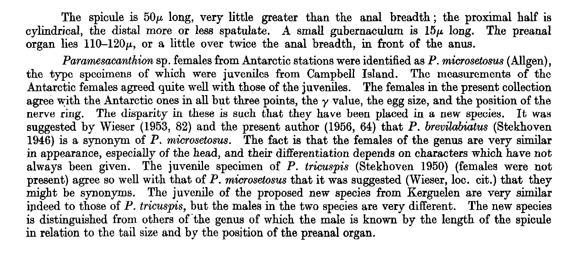The spicule is  $50\mu$  long, very little greater than the anal breadth; the proximal half is cylindrical, the distal more or less spatulate. A small gubernaculum is  $15\mu$  long. The preanal organ lies  $110-120\mu$ , or a little over twice the anal breadth, in front of the anus.

Paramesacanthion sp. females from Antarctic stations were identified as P. microsetosus (Allgen), the type specimens of which were juveniles from Campbell Island. The measurements of the Antarctic females agreed quite well with those of the juveniles. The females in the present collection agree with the Antarctic ones in all but three points, the  $\gamma$  value, the egg size, and the position of the nerve ring. The disparity in these is such that they have been placed in a new species. It was suggested by Wieser (1953, 82) and the present author (1956, 64) that P. brevilabiatus (Stekhoven  $1946$ ) is a synonym of P. microsetosus. The fact is that the females of the genus are very similar in appearance, especially of the head, and their differentiation depends on characters which have not always been given. The juvenile specimen of P. tricuspis (Stekhoven 1950) (females were not present) agree so well with that of P. microsetosus that it was suggested (Wieser, loc. cit.) that they might be synonyms. The juvenile of the proposed new species from Kerguelen are very similar indeed to those of P. tricuspis, but the males in the two species are very different. The new species is distinguished from others of 'the genus of which the male is known by the length of the spicule in relation to the tail size and by the position of the preanal organ.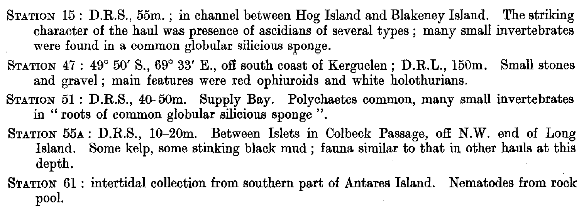- STATION 15 : D.R.S., 55m. ; in channel between Hog Island and Blakeney Island. The striking character of the haul was presence of ascidians of several types ; many small invertebrates were found in a common globular silicious sponge.
- STATION 47 : 49° 50' S., 69° 33' E., off south coast of Kerguelen ; D.R.L., 150m. Small stones and gravel ; main features were red ophiuroids and white holothurians.
- STATION 51 : D.R.S., 40-50m. Supply Bay. Polychaetes common, many small invertebrates in " roots of common globular silicious sponge ".
- STATION 55A : D.R.S., l0-20m. Between Islets in Colbeck Passage, off N.W. end of Long Island. Some kelp, some stinking black mud ; fauna similar to that in other hauls at this depth.
- STATION 61 : intertidal collection from southern part of Antares Island. Nematodes from rock pool.